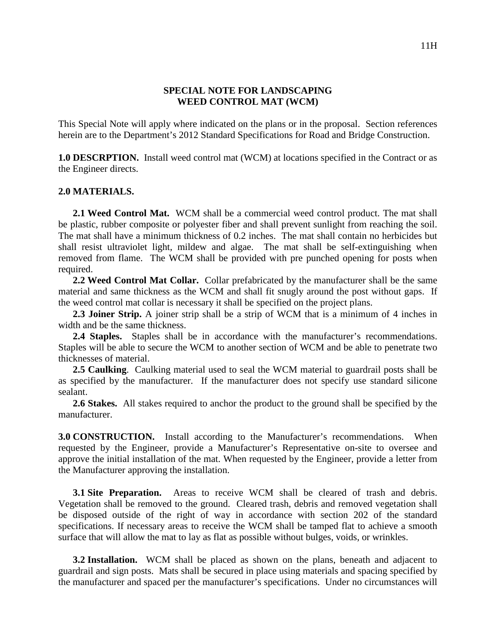## **SPECIAL NOTE FOR LANDSCAPING WEED CONTROL MAT (WCM)**

This Special Note will apply where indicated on the plans or in the proposal. Section references herein are to the Department's 2012 Standard Specifications for Road and Bridge Construction.

**1.0 DESCRPTION.** Install weed control mat (WCM) at locations specified in the Contract or as the Engineer directs.

## **2.0 MATERIALS.**

**2.1 Weed Control Mat.** WCM shall be a commercial weed control product. The mat shall be plastic, rubber composite or polyester fiber and shall prevent sunlight from reaching the soil. The mat shall have a minimum thickness of 0.2 inches. The mat shall contain no herbicides but shall resist ultraviolet light, mildew and algae. The mat shall be self-extinguishing when removed from flame. The WCM shall be provided with pre punched opening for posts when required.

**2.2 Weed Control Mat Collar.** Collar prefabricated by the manufacturer shall be the same material and same thickness as the WCM and shall fit snugly around the post without gaps. If the weed control mat collar is necessary it shall be specified on the project plans.

**2.3 Joiner Strip.** A joiner strip shall be a strip of WCM that is a minimum of 4 inches in width and be the same thickness.

**2.4 Staples.** Staples shall be in accordance with the manufacturer's recommendations. Staples will be able to secure the WCM to another section of WCM and be able to penetrate two thicknesses of material.

**2.5 Caulking**. Caulking material used to seal the WCM material to guardrail posts shall be as specified by the manufacturer. If the manufacturer does not specify use standard silicone sealant.

**2.6 Stakes.** All stakes required to anchor the product to the ground shall be specified by the manufacturer.

**3.0 CONSTRUCTION.** Install according to the Manufacturer's recommendations. When requested by the Engineer, provide a Manufacturer's Representative on-site to oversee and approve the initial installation of the mat. When requested by the Engineer, provide a letter from the Manufacturer approving the installation.

**3.1 Site Preparation.** Areas to receive WCM shall be cleared of trash and debris. Vegetation shall be removed to the ground. Cleared trash, debris and removed vegetation shall be disposed outside of the right of way in accordance with section 202 of the standard specifications. If necessary areas to receive the WCM shall be tamped flat to achieve a smooth surface that will allow the mat to lay as flat as possible without bulges, voids, or wrinkles.

**3.2 Installation.** WCM shall be placed as shown on the plans, beneath and adjacent to guardrail and sign posts. Mats shall be secured in place using materials and spacing specified by the manufacturer and spaced per the manufacturer's specifications. Under no circumstances will